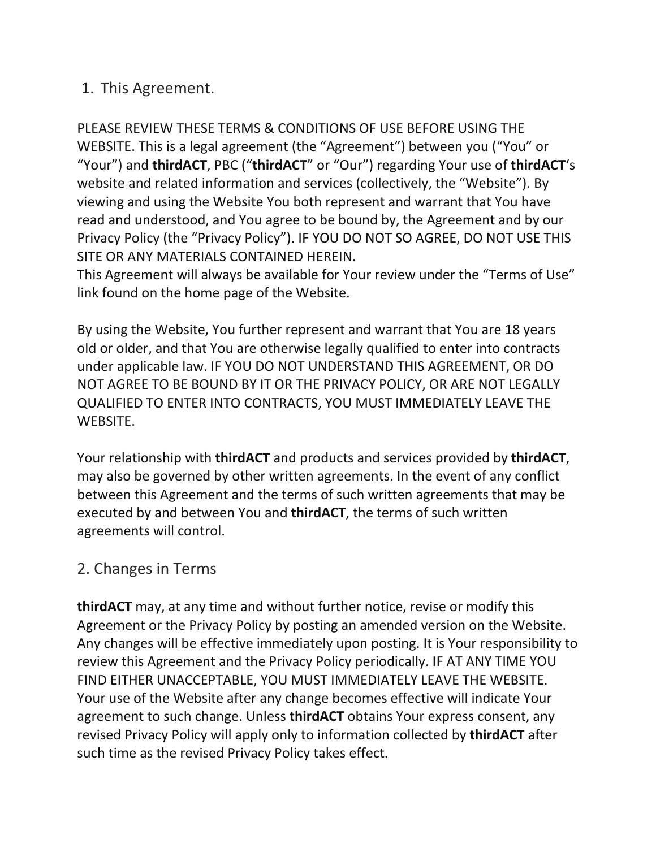## 1. This Agreement.

PLEASE REVIEW THESE TERMS & CONDITIONS OF USE BEFORE USING THE WEBSITE. This is a legal agreement (the "Agreement") between you ("You" or "Your") and **thirdACT**, PBC ("**thirdACT**" or "Our") regarding Your use of **thirdACT**'s website and related information and services (collectively, the "Website"). By viewing and using the Website You both represent and warrant that You have read and understood, and You agree to be bound by, the Agreement and by our Privacy Policy (the "Privacy Policy"). IF YOU DO NOT SO AGREE, DO NOT USE THIS SITE OR ANY MATERIALS CONTAINED HEREIN.

This Agreement will always be available for Your review under the "Terms of Use" link found on the home page of the Website.

By using the Website, You further represent and warrant that You are 18 years old or older, and that You are otherwise legally qualified to enter into contracts under applicable law. IF YOU DO NOT UNDERSTAND THIS AGREEMENT, OR DO NOT AGREE TO BE BOUND BY IT OR THE PRIVACY POLICY, OR ARE NOT LEGALLY QUALIFIED TO ENTER INTO CONTRACTS, YOU MUST IMMEDIATELY LEAVE THE WEBSITE.

Your relationship with **thirdACT** and products and services provided by **thirdACT**, may also be governed by other written agreements. In the event of any conflict between this Agreement and the terms of such written agreements that may be executed by and between You and **thirdACT**, the terms of such written agreements will control.

## 2. Changes in Terms

**thirdACT** may, at any time and without further notice, revise or modify this Agreement or the Privacy Policy by posting an amended version on the Website. Any changes will be effective immediately upon posting. It is Your responsibility to review this Agreement and the Privacy Policy periodically. IF AT ANY TIME YOU FIND EITHER UNACCEPTABLE, YOU MUST IMMEDIATELY LEAVE THE WEBSITE. Your use of the Website after any change becomes effective will indicate Your agreement to such change. Unless **thirdACT** obtains Your express consent, any revised Privacy Policy will apply only to information collected by **thirdACT** after such time as the revised Privacy Policy takes effect.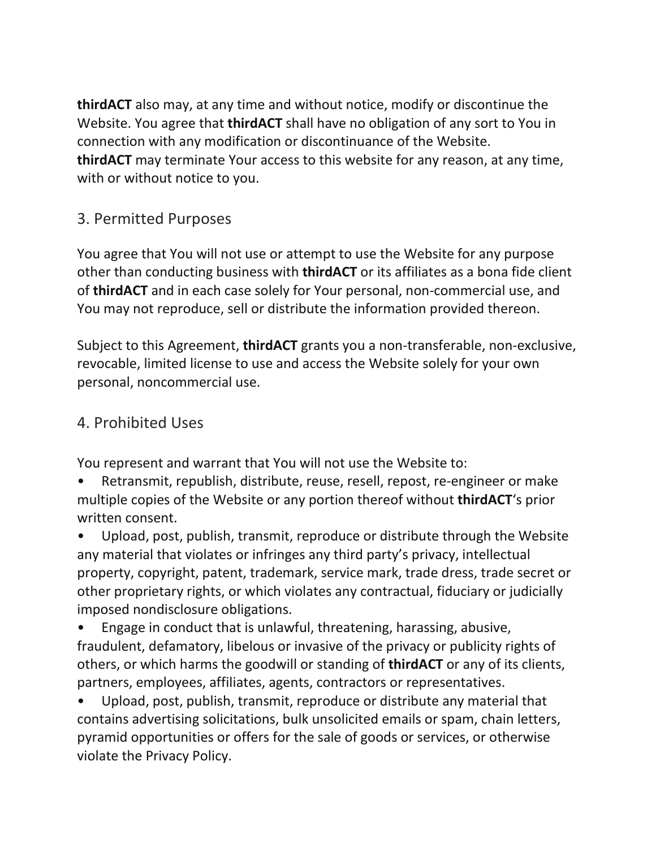**thirdACT** also may, at any time and without notice, modify or discontinue the Website. You agree that **thirdACT** shall have no obligation of any sort to You in connection with any modification or discontinuance of the Website. **thirdACT** may terminate Your access to this website for any reason, at any time, with or without notice to you.

# 3. Permitted Purposes

You agree that You will not use or attempt to use the Website for any purpose other than conducting business with **thirdACT** or its affiliates as a bona fide client of **thirdACT** and in each case solely for Your personal, non-commercial use, and You may not reproduce, sell or distribute the information provided thereon.

Subject to this Agreement, **thirdACT** grants you a non-transferable, non-exclusive, revocable, limited license to use and access the Website solely for your own personal, noncommercial use.

#### 4. Prohibited Uses

You represent and warrant that You will not use the Website to:

• Retransmit, republish, distribute, reuse, resell, repost, re-engineer or make multiple copies of the Website or any portion thereof without **thirdACT**'s prior written consent.

• Upload, post, publish, transmit, reproduce or distribute through the Website any material that violates or infringes any third party's privacy, intellectual property, copyright, patent, trademark, service mark, trade dress, trade secret or other proprietary rights, or which violates any contractual, fiduciary or judicially imposed nondisclosure obligations.

• Engage in conduct that is unlawful, threatening, harassing, abusive, fraudulent, defamatory, libelous or invasive of the privacy or publicity rights of others, or which harms the goodwill or standing of **thirdACT** or any of its clients, partners, employees, affiliates, agents, contractors or representatives.

• Upload, post, publish, transmit, reproduce or distribute any material that contains advertising solicitations, bulk unsolicited emails or spam, chain letters, pyramid opportunities or offers for the sale of goods or services, or otherwise violate the Privacy Policy.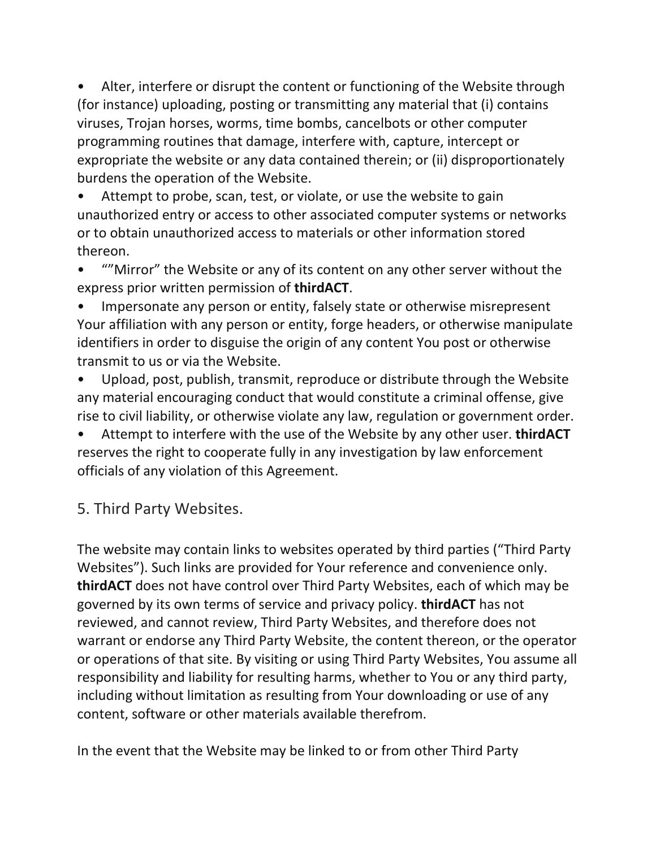Alter, interfere or disrupt the content or functioning of the Website through (for instance) uploading, posting or transmitting any material that (i) contains viruses, Trojan horses, worms, time bombs, cancelbots or other computer programming routines that damage, interfere with, capture, intercept or expropriate the website or any data contained therein; or (ii) disproportionately burdens the operation of the Website.

Attempt to probe, scan, test, or violate, or use the website to gain unauthorized entry or access to other associated computer systems or networks or to obtain unauthorized access to materials or other information stored thereon.

""Mirror" the Website or any of its content on any other server without the express prior written permission of **thirdACT**.

• Impersonate any person or entity, falsely state or otherwise misrepresent Your affiliation with any person or entity, forge headers, or otherwise manipulate identifiers in order to disguise the origin of any content You post or otherwise transmit to us or via the Website.

• Upload, post, publish, transmit, reproduce or distribute through the Website any material encouraging conduct that would constitute a criminal offense, give rise to civil liability, or otherwise violate any law, regulation or government order.

• Attempt to interfere with the use of the Website by any other user. **thirdACT** reserves the right to cooperate fully in any investigation by law enforcement officials of any violation of this Agreement.

5. Third Party Websites.

The website may contain links to websites operated by third parties ("Third Party Websites"). Such links are provided for Your reference and convenience only. **thirdACT** does not have control over Third Party Websites, each of which may be governed by its own terms of service and privacy policy. **thirdACT** has not reviewed, and cannot review, Third Party Websites, and therefore does not warrant or endorse any Third Party Website, the content thereon, or the operator or operations of that site. By visiting or using Third Party Websites, You assume all responsibility and liability for resulting harms, whether to You or any third party, including without limitation as resulting from Your downloading or use of any content, software or other materials available therefrom.

In the event that the Website may be linked to or from other Third Party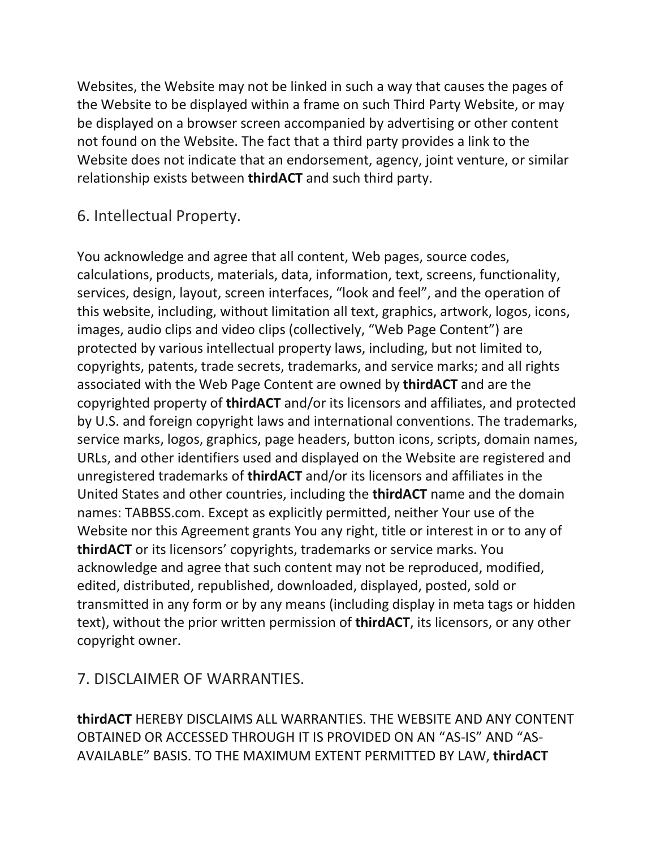Websites, the Website may not be linked in such a way that causes the pages of the Website to be displayed within a frame on such Third Party Website, or may be displayed on a browser screen accompanied by advertising or other content not found on the Website. The fact that a third party provides a link to the Website does not indicate that an endorsement, agency, joint venture, or similar relationship exists between **thirdACT** and such third party.

#### 6. Intellectual Property.

You acknowledge and agree that all content, Web pages, source codes, calculations, products, materials, data, information, text, screens, functionality, services, design, layout, screen interfaces, "look and feel", and the operation of this website, including, without limitation all text, graphics, artwork, logos, icons, images, audio clips and video clips (collectively, "Web Page Content") are protected by various intellectual property laws, including, but not limited to, copyrights, patents, trade secrets, trademarks, and service marks; and all rights associated with the Web Page Content are owned by **thirdACT** and are the copyrighted property of **thirdACT** and/or its licensors and affiliates, and protected by U.S. and foreign copyright laws and international conventions. The trademarks, service marks, logos, graphics, page headers, button icons, scripts, domain names, URLs, and other identifiers used and displayed on the Website are registered and unregistered trademarks of **thirdACT** and/or its licensors and affiliates in the United States and other countries, including the **thirdACT** name and the domain names: TABBSS.com. Except as explicitly permitted, neither Your use of the Website nor this Agreement grants You any right, title or interest in or to any of **thirdACT** or its licensors' copyrights, trademarks or service marks. You acknowledge and agree that such content may not be reproduced, modified, edited, distributed, republished, downloaded, displayed, posted, sold or transmitted in any form or by any means (including display in meta tags or hidden text), without the prior written permission of **thirdACT**, its licensors, or any other copyright owner.

## 7. DISCLAIMER OF WARRANTIES.

**thirdACT** HEREBY DISCLAIMS ALL WARRANTIES. THE WEBSITE AND ANY CONTENT OBTAINED OR ACCESSED THROUGH IT IS PROVIDED ON AN "AS-IS" AND "AS-AVAILABLE" BASIS. TO THE MAXIMUM EXTENT PERMITTED BY LAW, **thirdACT**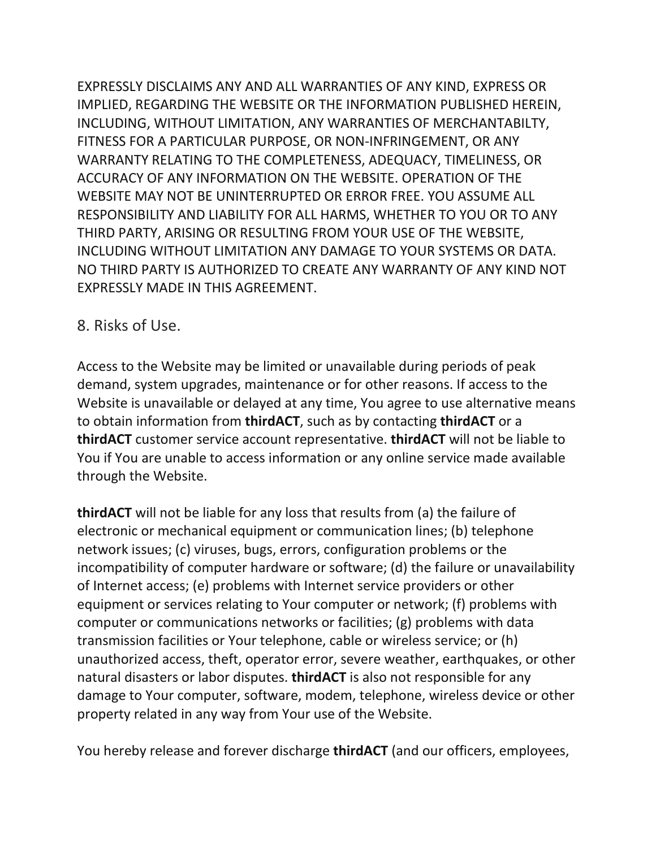EXPRESSLY DISCLAIMS ANY AND ALL WARRANTIES OF ANY KIND, EXPRESS OR IMPLIED, REGARDING THE WEBSITE OR THE INFORMATION PUBLISHED HEREIN, INCLUDING, WITHOUT LIMITATION, ANY WARRANTIES OF MERCHANTABILTY, FITNESS FOR A PARTICULAR PURPOSE, OR NON-INFRINGEMENT, OR ANY WARRANTY RELATING TO THE COMPLETENESS, ADEQUACY, TIMELINESS, OR ACCURACY OF ANY INFORMATION ON THE WEBSITE. OPERATION OF THE WEBSITE MAY NOT BE UNINTERRUPTED OR ERROR FREE. YOU ASSUME ALL RESPONSIBILITY AND LIABILITY FOR ALL HARMS, WHETHER TO YOU OR TO ANY THIRD PARTY, ARISING OR RESULTING FROM YOUR USE OF THE WEBSITE, INCLUDING WITHOUT LIMITATION ANY DAMAGE TO YOUR SYSTEMS OR DATA. NO THIRD PARTY IS AUTHORIZED TO CREATE ANY WARRANTY OF ANY KIND NOT EXPRESSLY MADE IN THIS AGREEMENT.

#### 8. Risks of Use.

Access to the Website may be limited or unavailable during periods of peak demand, system upgrades, maintenance or for other reasons. If access to the Website is unavailable or delayed at any time, You agree to use alternative means to obtain information from **thirdACT**, such as by contacting **thirdACT** or a **thirdACT** customer service account representative. **thirdACT** will not be liable to You if You are unable to access information or any online service made available through the Website.

**thirdACT** will not be liable for any loss that results from (a) the failure of electronic or mechanical equipment or communication lines; (b) telephone network issues; (c) viruses, bugs, errors, configuration problems or the incompatibility of computer hardware or software; (d) the failure or unavailability of Internet access; (e) problems with Internet service providers or other equipment or services relating to Your computer or network; (f) problems with computer or communications networks or facilities; (g) problems with data transmission facilities or Your telephone, cable or wireless service; or (h) unauthorized access, theft, operator error, severe weather, earthquakes, or other natural disasters or labor disputes. **thirdACT** is also not responsible for any damage to Your computer, software, modem, telephone, wireless device or other property related in any way from Your use of the Website.

You hereby release and forever discharge **thirdACT** (and our officers, employees,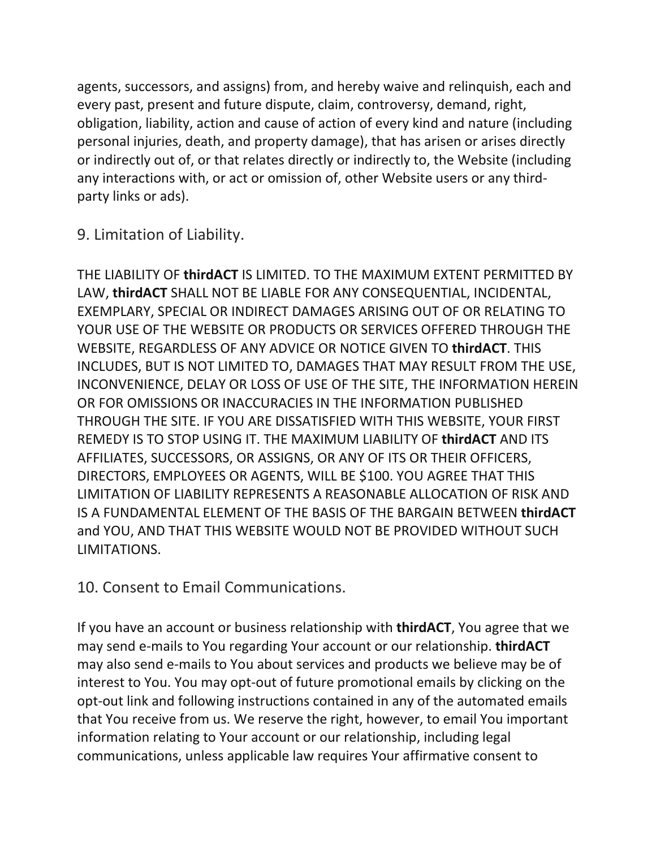agents, successors, and assigns) from, and hereby waive and relinquish, each and every past, present and future dispute, claim, controversy, demand, right, obligation, liability, action and cause of action of every kind and nature (including personal injuries, death, and property damage), that has arisen or arises directly or indirectly out of, or that relates directly or indirectly to, the Website (including any interactions with, or act or omission of, other Website users or any thirdparty links or ads).

9. Limitation of Liability.

THE LIABILITY OF **thirdACT** IS LIMITED. TO THE MAXIMUM EXTENT PERMITTED BY LAW, **thirdACT** SHALL NOT BE LIABLE FOR ANY CONSEQUENTIAL, INCIDENTAL, EXEMPLARY, SPECIAL OR INDIRECT DAMAGES ARISING OUT OF OR RELATING TO YOUR USE OF THE WEBSITE OR PRODUCTS OR SERVICES OFFERED THROUGH THE WEBSITE, REGARDLESS OF ANY ADVICE OR NOTICE GIVEN TO **thirdACT**. THIS INCLUDES, BUT IS NOT LIMITED TO, DAMAGES THAT MAY RESULT FROM THE USE, INCONVENIENCE, DELAY OR LOSS OF USE OF THE SITE, THE INFORMATION HEREIN OR FOR OMISSIONS OR INACCURACIES IN THE INFORMATION PUBLISHED THROUGH THE SITE. IF YOU ARE DISSATISFIED WITH THIS WEBSITE, YOUR FIRST REMEDY IS TO STOP USING IT. THE MAXIMUM LIABILITY OF **thirdACT** AND ITS AFFILIATES, SUCCESSORS, OR ASSIGNS, OR ANY OF ITS OR THEIR OFFICERS, DIRECTORS, EMPLOYEES OR AGENTS, WILL BE \$100. YOU AGREE THAT THIS LIMITATION OF LIABILITY REPRESENTS A REASONABLE ALLOCATION OF RISK AND IS A FUNDAMENTAL ELEMENT OF THE BASIS OF THE BARGAIN BETWEEN **thirdACT** and YOU, AND THAT THIS WEBSITE WOULD NOT BE PROVIDED WITHOUT SUCH LIMITATIONS.

10. Consent to Email Communications.

If you have an account or business relationship with **thirdACT**, You agree that we may send e-mails to You regarding Your account or our relationship. **thirdACT** may also send e-mails to You about services and products we believe may be of interest to You. You may opt-out of future promotional emails by clicking on the opt-out link and following instructions contained in any of the automated emails that You receive from us. We reserve the right, however, to email You important information relating to Your account or our relationship, including legal communications, unless applicable law requires Your affirmative consent to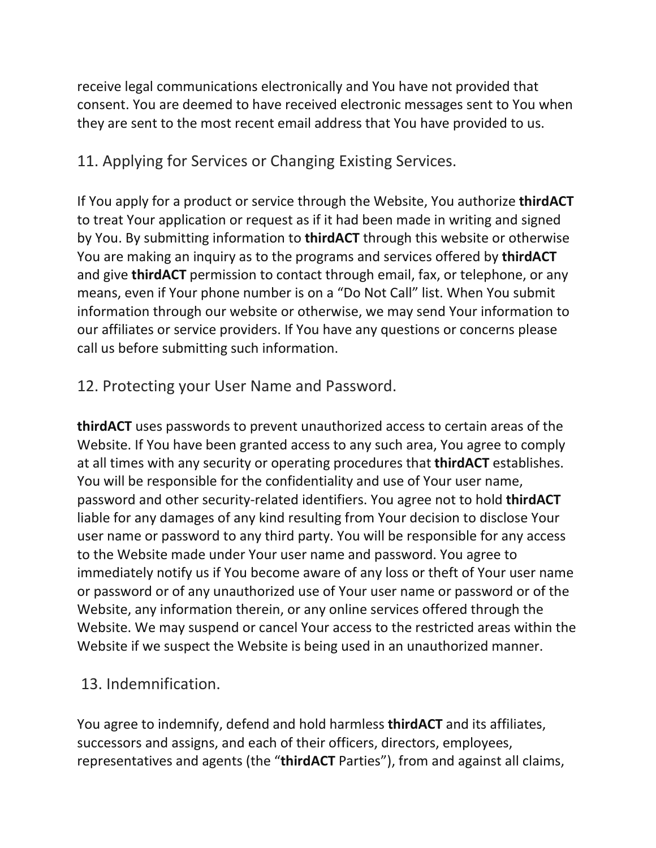receive legal communications electronically and You have not provided that consent. You are deemed to have received electronic messages sent to You when they are sent to the most recent email address that You have provided to us.

# 11. Applying for Services or Changing Existing Services.

If You apply for a product or service through the Website, You authorize **thirdACT** to treat Your application or request as if it had been made in writing and signed by You. By submitting information to **thirdACT** through this website or otherwise You are making an inquiry as to the programs and services offered by **thirdACT** and give **thirdACT** permission to contact through email, fax, or telephone, or any means, even if Your phone number is on a "Do Not Call" list. When You submit information through our website or otherwise, we may send Your information to our affiliates or service providers. If You have any questions or concerns please call us before submitting such information.

## 12. Protecting your User Name and Password.

**thirdACT** uses passwords to prevent unauthorized access to certain areas of the Website. If You have been granted access to any such area, You agree to comply at all times with any security or operating procedures that **thirdACT** establishes. You will be responsible for the confidentiality and use of Your user name, password and other security-related identifiers. You agree not to hold **thirdACT** liable for any damages of any kind resulting from Your decision to disclose Your user name or password to any third party. You will be responsible for any access to the Website made under Your user name and password. You agree to immediately notify us if You become aware of any loss or theft of Your user name or password or of any unauthorized use of Your user name or password or of the Website, any information therein, or any online services offered through the Website. We may suspend or cancel Your access to the restricted areas within the Website if we suspect the Website is being used in an unauthorized manner.

## 13. Indemnification.

You agree to indemnify, defend and hold harmless **thirdACT** and its affiliates, successors and assigns, and each of their officers, directors, employees, representatives and agents (the "**thirdACT** Parties"), from and against all claims,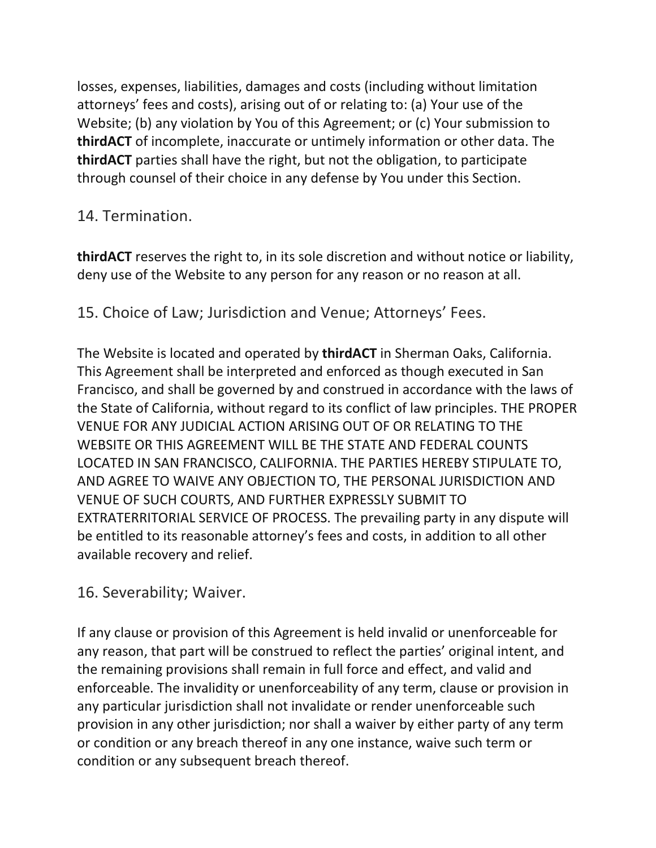losses, expenses, liabilities, damages and costs (including without limitation attorneys' fees and costs), arising out of or relating to: (a) Your use of the Website; (b) any violation by You of this Agreement; or (c) Your submission to **thirdACT** of incomplete, inaccurate or untimely information or other data. The **thirdACT** parties shall have the right, but not the obligation, to participate through counsel of their choice in any defense by You under this Section.

## 14. Termination.

**thirdACT** reserves the right to, in its sole discretion and without notice or liability, deny use of the Website to any person for any reason or no reason at all.

15. Choice of Law; Jurisdiction and Venue; Attorneys' Fees.

The Website is located and operated by **thirdACT** in Sherman Oaks, California. This Agreement shall be interpreted and enforced as though executed in San Francisco, and shall be governed by and construed in accordance with the laws of the State of California, without regard to its conflict of law principles. THE PROPER VENUE FOR ANY JUDICIAL ACTION ARISING OUT OF OR RELATING TO THE WEBSITE OR THIS AGREEMENT WILL BE THE STATE AND FEDERAL COUNTS LOCATED IN SAN FRANCISCO, CALIFORNIA. THE PARTIES HEREBY STIPULATE TO, AND AGREE TO WAIVE ANY OBJECTION TO, THE PERSONAL JURISDICTION AND VENUE OF SUCH COURTS, AND FURTHER EXPRESSLY SUBMIT TO EXTRATERRITORIAL SERVICE OF PROCESS. The prevailing party in any dispute will be entitled to its reasonable attorney's fees and costs, in addition to all other available recovery and relief.

16. Severability; Waiver.

If any clause or provision of this Agreement is held invalid or unenforceable for any reason, that part will be construed to reflect the parties' original intent, and the remaining provisions shall remain in full force and effect, and valid and enforceable. The invalidity or unenforceability of any term, clause or provision in any particular jurisdiction shall not invalidate or render unenforceable such provision in any other jurisdiction; nor shall a waiver by either party of any term or condition or any breach thereof in any one instance, waive such term or condition or any subsequent breach thereof.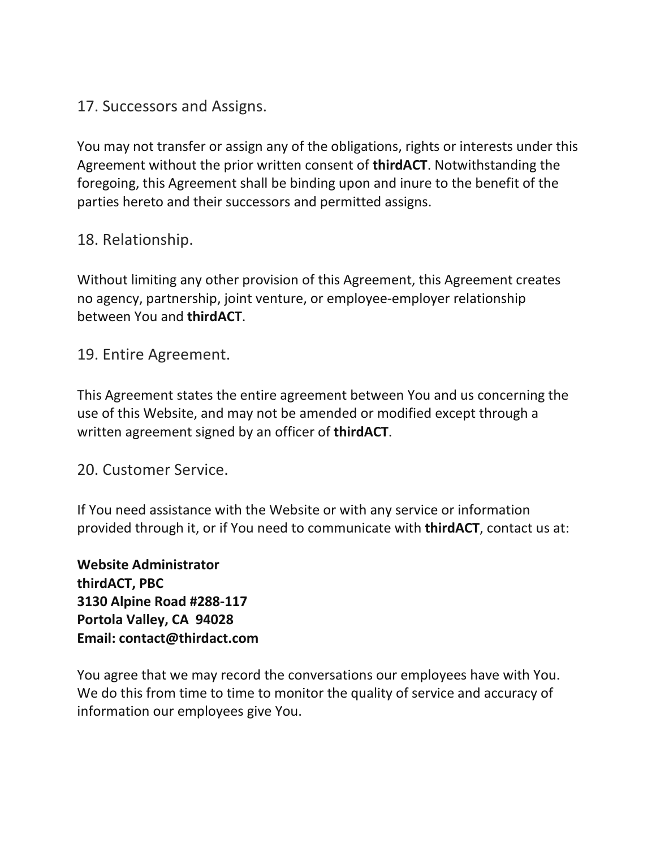## 17. Successors and Assigns.

You may not transfer or assign any of the obligations, rights or interests under this Agreement without the prior written consent of **thirdACT**. Notwithstanding the foregoing, this Agreement shall be binding upon and inure to the benefit of the parties hereto and their successors and permitted assigns.

## 18. Relationship.

Without limiting any other provision of this Agreement, this Agreement creates no agency, partnership, joint venture, or employee-employer relationship between You and **thirdACT**.

19. Entire Agreement.

This Agreement states the entire agreement between You and us concerning the use of this Website, and may not be amended or modified except through a written agreement signed by an officer of **thirdACT**.

20. Customer Service.

If You need assistance with the Website or with any service or information provided through it, or if You need to communicate with **thirdACT**, contact us at:

**Website Administrator thirdACT, PBC 3130 Alpine Road #288-117 Portola Valley, CA 94028 Email: contact@thirdact.com**

You agree that we may record the conversations our employees have with You. We do this from time to time to monitor the quality of service and accuracy of information our employees give You.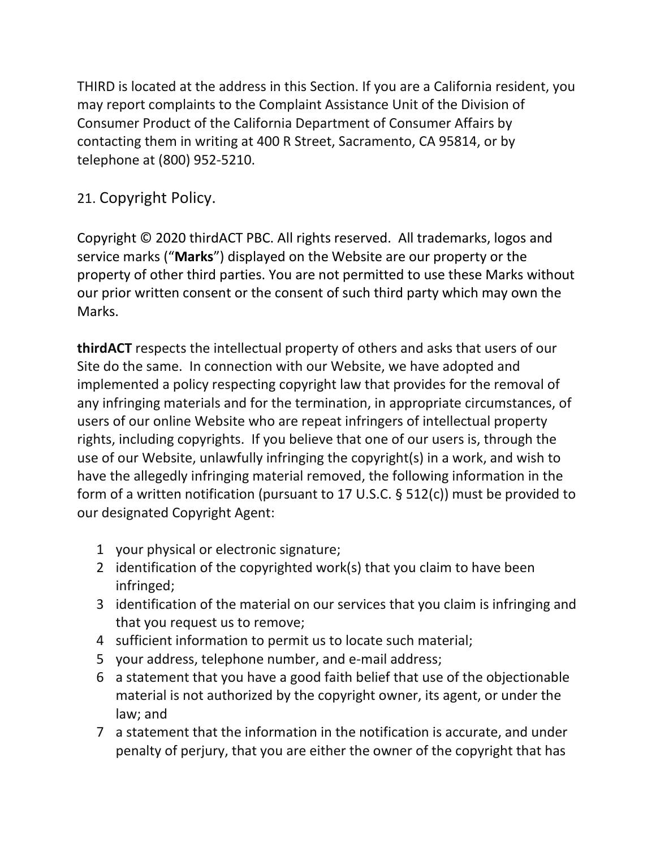THIRD is located at the address in this Section. If you are a California resident, you may report complaints to the Complaint Assistance Unit of the Division of Consumer Product of the California Department of Consumer Affairs by contacting them in writing at 400 R Street, Sacramento, CA 95814, or by telephone at (800) 952-5210.

# 21. Copyright Policy.

Copyright © 2020 thirdACT PBC. All rights reserved. All trademarks, logos and service marks ("**Marks**") displayed on the Website are our property or the property of other third parties. You are not permitted to use these Marks without our prior written consent or the consent of such third party which may own the Marks.

**thirdACT** respects the intellectual property of others and asks that users of our Site do the same. In connection with our Website, we have adopted and implemented a policy respecting copyright law that provides for the removal of any infringing materials and for the termination, in appropriate circumstances, of users of our online Website who are repeat infringers of intellectual property rights, including copyrights. If you believe that one of our users is, through the use of our Website, unlawfully infringing the copyright(s) in a work, and wish to have the allegedly infringing material removed, the following information in the form of a written notification (pursuant to 17 U.S.C. § 512(c)) must be provided to our designated Copyright Agent:

- 1 your physical or electronic signature;
- 2 identification of the copyrighted work(s) that you claim to have been infringed;
- 3 identification of the material on our services that you claim is infringing and that you request us to remove;
- 4 sufficient information to permit us to locate such material;
- 5 your address, telephone number, and e-mail address;
- 6 a statement that you have a good faith belief that use of the objectionable material is not authorized by the copyright owner, its agent, or under the law; and
- 7 a statement that the information in the notification is accurate, and under penalty of perjury, that you are either the owner of the copyright that has